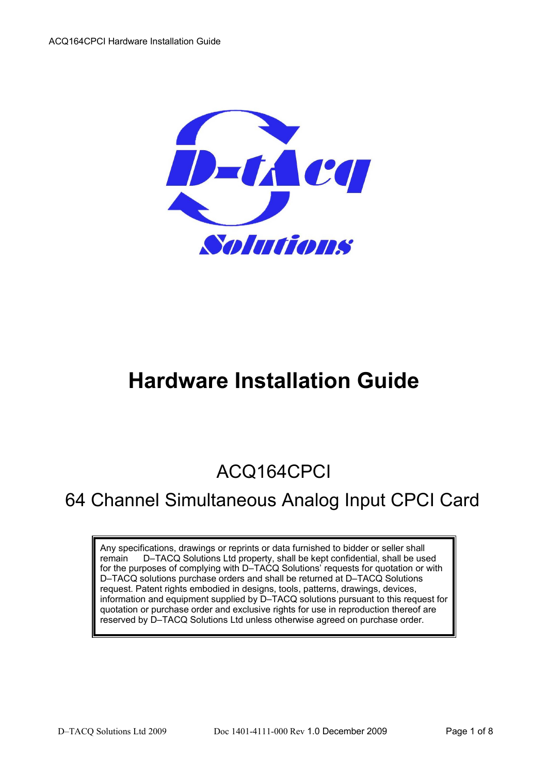

# **Hardware Installation Guide**

# ACQ164CPCI

## 64 Channel Simultaneous Analog Input CPCI Card

Any specifications, drawings or reprints or data furnished to bidder or seller shall remain D–TACQ Solutions Ltd property, shall be kept confidential, shall be used for the purposes of complying with D–TACQ Solutions' requests for quotation or with D–TACQ solutions purchase orders and shall be returned at D–TACQ Solutions request. Patent rights embodied in designs, tools, patterns, drawings, devices, information and equipment supplied by D–TACQ solutions pursuant to this request for quotation or purchase order and exclusive rights for use in reproduction thereof are reserved by D–TACQ Solutions Ltd unless otherwise agreed on purchase order.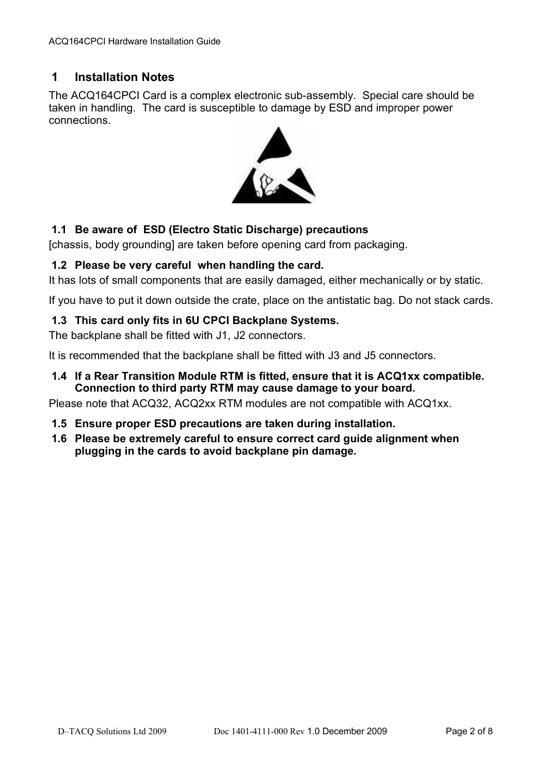## **1 Installation Notes**

The ACQ164CPCI Card is a complex electronic sub-assembly. Special care should be taken in handling. The card is susceptible to damage by ESD and improper power connections.



## **1.1 Be aware of ESD (Electro Static Discharge) precautions**

[chassis, body grounding] are taken before opening card from packaging.

#### **1.2 Please be very careful when handling the card.**

It has lots of small components that are easily damaged, either mechanically or by static.

If you have to put it down outside the crate, place on the antistatic bag. Do not stack cards.

#### **1.3 This card only fits in 6U CPCI Backplane Systems.**

The backplane shall be fitted with J1, J2 connectors.

It is recommended that the backplane shall be fitted with J3 and J5 connectors.

**1.4 If a Rear Transition Module RTM is fitted, ensure that it is ACQ1xx compatible. Connection to third party RTM may cause damage to your board.** 

Please note that ACQ32, ACQ2xx RTM modules are not compatible with ACQ1xx.

- **1.5 Ensure proper ESD precautions are taken during installation.**
- **1.6 Please be extremely careful to ensure correct card guide alignment when plugging in the cards to avoid backplane pin damage.**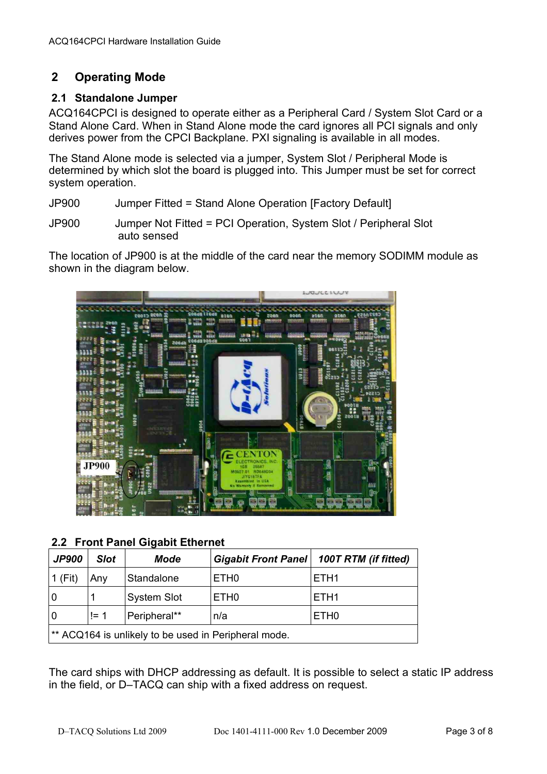## **2 Operating Mode**

### **2.1 Standalone Jumper**

ACQ164CPCI is designed to operate either as a Peripheral Card / System Slot Card or a Stand Alone Card. When in Stand Alone mode the card ignores all PCI signals and only derives power from the CPCI Backplane. PXI signaling is available in all modes.

The Stand Alone mode is selected via a jumper, System Slot / Peripheral Mode is determined by which slot the board is plugged into. This Jumper must be set for correct system operation.

- JP900 Jumper Fitted = Stand Alone Operation [Factory Default]
- JP900 Jumper Not Fitted = PCI Operation, System Slot / Peripheral Slot auto sensed

The location of JP900 is at the middle of the card near the memory SODIMM module as shown in the diagram below.



**2.2 Front Panel Gigabit Ethernet**

| <b>JP900</b>                                         | <b>Slot</b> | Mode               |                  | Gigabit Front Panel   100T RTM (if fitted) |  |  |  |
|------------------------------------------------------|-------------|--------------------|------------------|--------------------------------------------|--|--|--|
| 1 (Fit)                                              | Any         | Standalone         | ETH <sub>0</sub> | ETH <sub>1</sub>                           |  |  |  |
| l 0                                                  |             | <b>System Slot</b> | ETH <sub>0</sub> | ETH <sub>1</sub>                           |  |  |  |
| <b>0</b>                                             | $!= 1$      | Peripheral**       | n/a              | ETH <sub>0</sub>                           |  |  |  |
| ** ACQ164 is unlikely to be used in Peripheral mode. |             |                    |                  |                                            |  |  |  |

The card ships with DHCP addressing as default. It is possible to select a static IP address in the field, or D–TACQ can ship with a fixed address on request.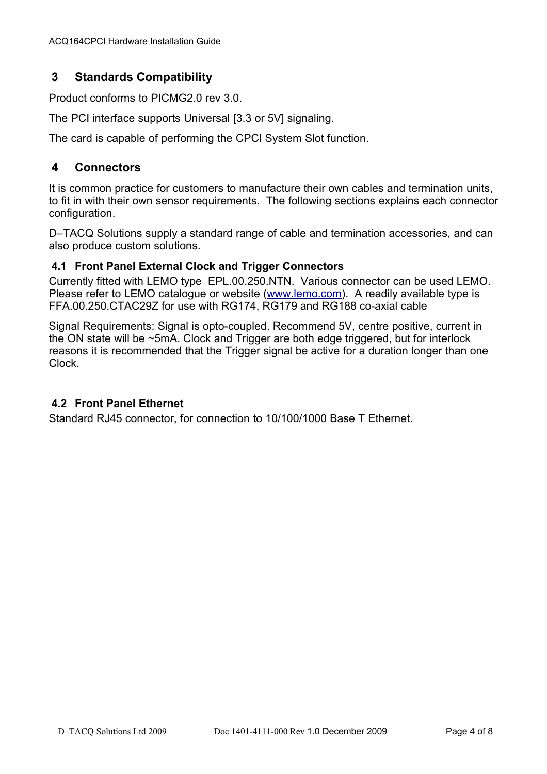## **3 Standards Compatibility**

Product conforms to PICMG2.0 rev 3.0.

The PCI interface supports Universal [3.3 or 5V] signaling.

The card is capable of performing the CPCI System Slot function.

## **4 Connectors**

It is common practice for customers to manufacture their own cables and termination units, to fit in with their own sensor requirements. The following sections explains each connector configuration.

D–TACQ Solutions supply a standard range of cable and termination accessories, and can also produce custom solutions.

#### **4.1 Front Panel External Clock and Trigger Connectors**

Currently fitted with LEMO type EPL.00.250.NTN. Various connector can be used LEMO. Please refer to LEMO catalogue or website [\(www.lemo.com\)](http://www.lemo.com/). A readily available type is FFA.00.250.CTAC29Z for use with RG174, RG179 and RG188 co-axial cable

Signal Requirements: Signal is opto-coupled. Recommend 5V, centre positive, current in the ON state will be ~5mA. Clock and Trigger are both edge triggered, but for interlock reasons it is recommended that the Trigger signal be active for a duration longer than one Clock.

### **4.2 Front Panel Ethernet**

Standard RJ45 connector, for connection to 10/100/1000 Base T Ethernet.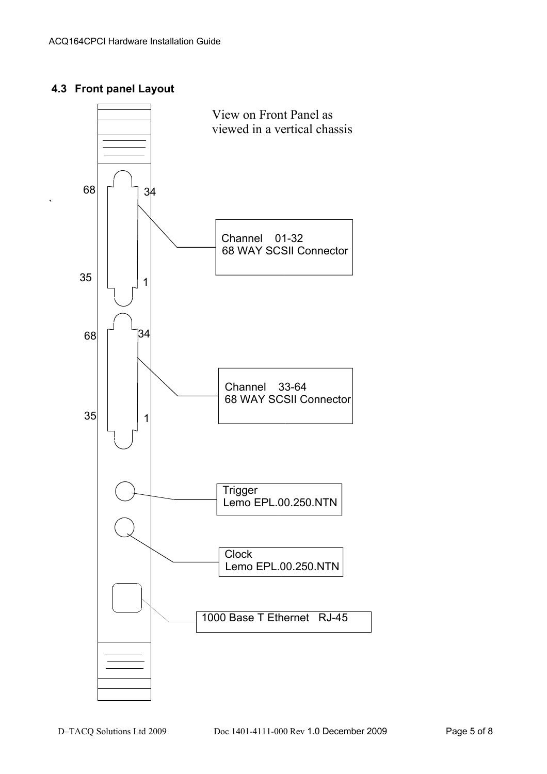## **4.3 Front panel Layout**

`

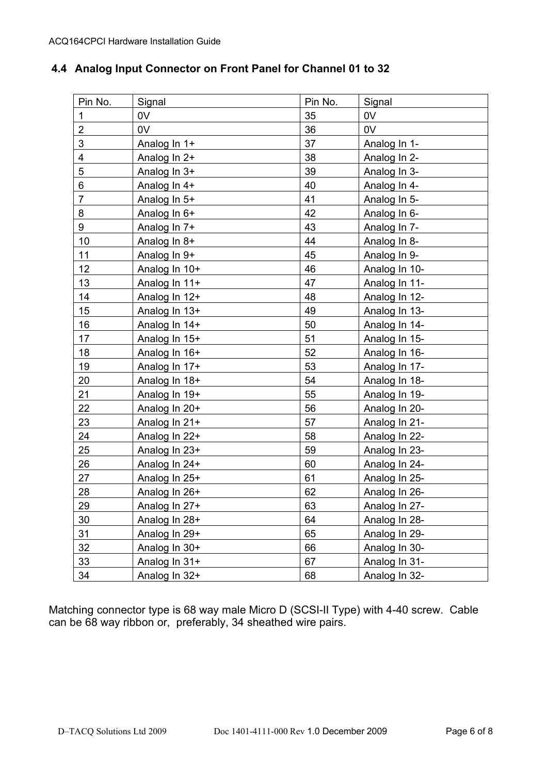## **4.4 Analog Input Connector on Front Panel for Channel 01 to 32**

| Pin No.        | Signal        | Pin No. | Signal        |
|----------------|---------------|---------|---------------|
| 1              | 0V            | 35      | 0V            |
| $\overline{2}$ | 0V            | 36      | 0V            |
| 3              | Analog In 1+  | 37      | Analog In 1-  |
| 4              | Analog In 2+  | 38      | Analog In 2-  |
| 5              | Analog In 3+  | 39      | Analog In 3-  |
| 6              | Analog In 4+  | 40      | Analog In 4-  |
| 7              | Analog In 5+  | 41      | Analog In 5-  |
| 8              | Analog In 6+  | 42      | Analog In 6-  |
| 9              | Analog In 7+  | 43      | Analog In 7-  |
| 10             | Analog In 8+  | 44      | Analog In 8-  |
| 11             | Analog In 9+  | 45      | Analog In 9-  |
| 12             | Analog In 10+ | 46      | Analog In 10- |
| 13             | Analog In 11+ | 47      | Analog In 11- |
| 14             | Analog In 12+ | 48      | Analog In 12- |
| 15             | Analog In 13+ | 49      | Analog In 13- |
| 16             | Analog In 14+ | 50      | Analog In 14- |
| 17             | Analog In 15+ | 51      | Analog In 15- |
| 18             | Analog In 16+ | 52      | Analog In 16- |
| 19             | Analog In 17+ | 53      | Analog In 17- |
| 20             | Analog In 18+ | 54      | Analog In 18- |
| 21             | Analog In 19+ | 55      | Analog In 19- |
| 22             | Analog In 20+ | 56      | Analog In 20- |
| 23             | Analog In 21+ | 57      | Analog In 21- |
| 24             | Analog In 22+ | 58      | Analog In 22- |
| 25             | Analog In 23+ | 59      | Analog In 23- |
| 26             | Analog In 24+ | 60      | Analog In 24- |
| 27             | Analog In 25+ | 61      | Analog In 25- |
| 28             | Analog In 26+ | 62      | Analog In 26- |
| 29             | Analog In 27+ | 63      | Analog In 27- |
| 30             | Analog In 28+ | 64      | Analog In 28- |
| 31             | Analog In 29+ | 65      | Analog In 29- |
| 32             | Analog In 30+ | 66      | Analog In 30- |
| 33             | Analog In 31+ | 67      | Analog In 31- |
| 34             | Analog In 32+ | 68      | Analog In 32- |

Matching connector type is 68 way male Micro D (SCSI-II Type) with 4-40 screw. Cable can be 68 way ribbon or, preferably, 34 sheathed wire pairs.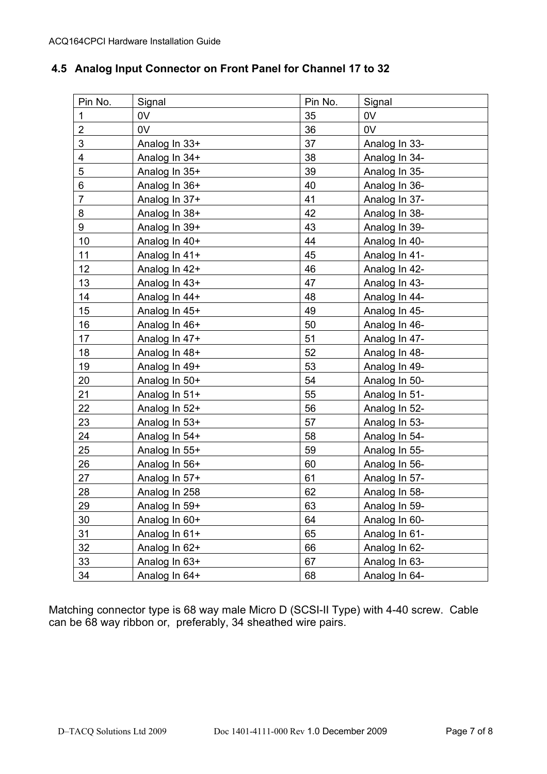## **4.5 Analog Input Connector on Front Panel for Channel 17 to 32**

| Pin No.        | Signal         | Pin No. | Signal        |
|----------------|----------------|---------|---------------|
| 1              | 0V             | 35      | 0V            |
| $\overline{2}$ | 0 <sub>V</sub> | 36      | 0V            |
| 3              | Analog In 33+  | 37      | Analog In 33- |
| 4              | Analog In 34+  | 38      | Analog In 34- |
| 5              | Analog In 35+  | 39      | Analog In 35- |
| 6              | Analog In 36+  | 40      | Analog In 36- |
| $\overline{7}$ | Analog In 37+  | 41      | Analog In 37- |
| 8              | Analog In 38+  | 42      | Analog In 38- |
| 9              | Analog In 39+  | 43      | Analog In 39- |
| 10             | Analog In 40+  | 44      | Analog In 40- |
| 11             | Analog In 41+  | 45      | Analog In 41- |
| 12             | Analog In 42+  | 46      | Analog In 42- |
| 13             | Analog In 43+  | 47      | Analog In 43- |
| 14             | Analog In 44+  | 48      | Analog In 44- |
| 15             | Analog In 45+  | 49      | Analog In 45- |
| 16             | Analog In 46+  | 50      | Analog In 46- |
| 17             | Analog In 47+  | 51      | Analog In 47- |
| 18             | Analog In 48+  | 52      | Analog In 48- |
| 19             | Analog In 49+  | 53      | Analog In 49- |
| 20             | Analog In 50+  | 54      | Analog In 50- |
| 21             | Analog In 51+  | 55      | Analog In 51- |
| 22             | Analog In 52+  | 56      | Analog In 52- |
| 23             | Analog In 53+  | 57      | Analog In 53- |
| 24             | Analog In 54+  | 58      | Analog In 54- |
| 25             | Analog In 55+  | 59      | Analog In 55- |
| 26             | Analog In 56+  | 60      | Analog In 56- |
| 27             | Analog In 57+  | 61      | Analog In 57- |
| 28             | Analog In 258  | 62      | Analog In 58- |
| 29             | Analog In 59+  | 63      | Analog In 59- |
| 30             | Analog In 60+  | 64      | Analog In 60- |
| 31             | Analog In 61+  | 65      | Analog In 61- |
| 32             | Analog In 62+  | 66      | Analog In 62- |
| 33             | Analog In 63+  | 67      | Analog In 63- |
| 34             | Analog In 64+  | 68      | Analog In 64- |
|                |                |         |               |

Matching connector type is 68 way male Micro D (SCSI-II Type) with 4-40 screw. Cable can be 68 way ribbon or, preferably, 34 sheathed wire pairs.